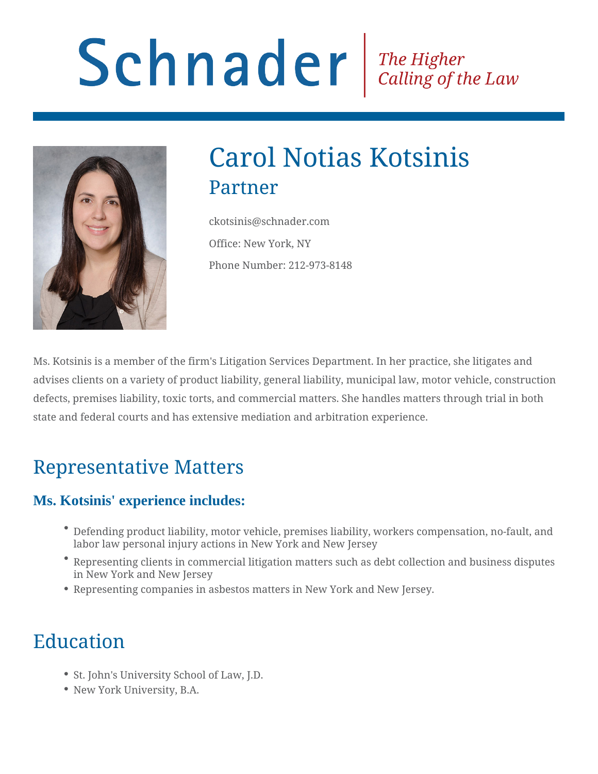# Schnader Fine Higher Calling of the Law



## Carol Notias Kotsinis Partner

ckotsinis@schnader.com Office: New York, NY Phone Number: 212-973-8148

Ms. Kotsinis is a member of the firm's Litigation Services Department. In her practice, she litigates and advises clients on a variety of product liability, general liability, municipal law, motor vehicle, construction defects, premises liability, toxic torts, and commercial matters. She handles matters through trial in both state and federal courts and has extensive mediation and arbitration experience.

### Representative Matters

#### **Ms. Kotsinis' experience includes:**

- Defending product liability, motor vehicle, premises liability, workers compensation, no-fault, and labor law personal injury actions in New York and New Jersey
- Representing clients in commercial litigation matters such as debt collection and business disputes in New York and New Jersey
- Representing companies in asbestos matters in New York and New Jersey.

## Education

- St. John's University School of Law, J.D.
- New York University, B.A.